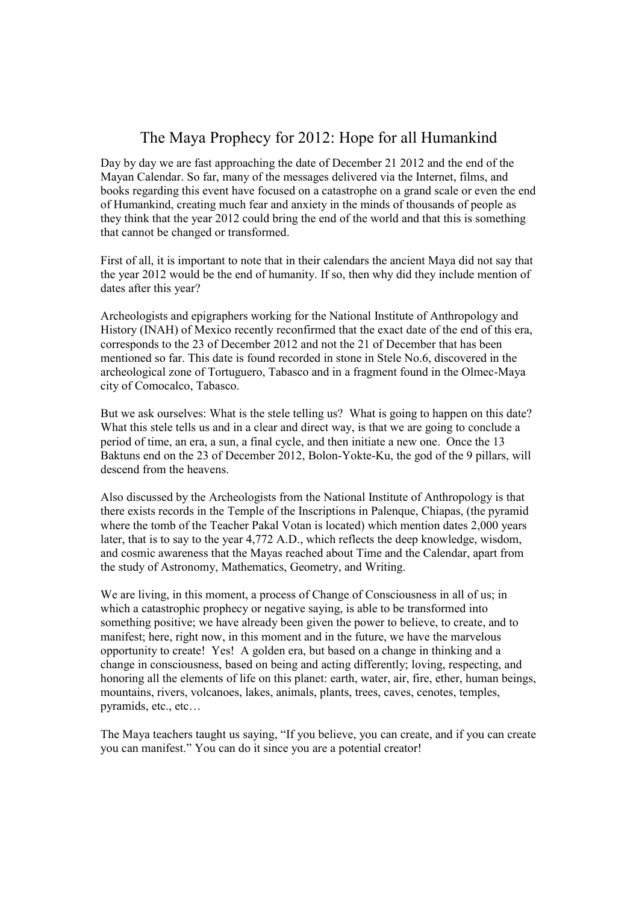## The Maya Prophecy for 2012: Hope for all Humankind

Day by day we are fast approaching the date of December 21 2012 and the end of the Mayan Calendar. So far, many of the messages delivered via the Internet, films, and books regarding this event have focused on a catastrophe on a grand scale or even the end of Humankind, creating much fear and anxiety in the minds of thousands of people as they think that the year 2012 could bring the end of the world and that this is something that cannot be changed or transformed.

First of all, it is important to note that in their calendars the ancient Maya did not say that the year 2012 would be the end of humanity. If so, then why did they include mention of dates after this year?

Archeologists and epigraphers working for the National Institute of Anthropology and History (INAH) of Mexico recently reconfirmed that the exact date of the end of this era, corresponds to the 23 of December 2012 and not the 21 of December that has been mentioned so far. This date is found recorded in stone in Stele No.6, discovered in the archeological zone of Tortuguero, Tabasco and in a fragment found in the Olmec-Maya city of Comocalco, Tabasco.

But we ask ourselves: What is the stele telling us? What is going to happen on this date? What this stele tells us and in a clear and direct way, is that we are going to conclude a period of time, an era, a sun, a final cycle, and then initiate a new one. Once the 13 Baktuns end on the 23 of December 2012, Bolon-Yokte-Ku, the god of the 9 pillars, will descend from the heavens.

Also discussed by the Archeologists from the National Institute of Anthropology is that there exists records in the Temple of the Inscriptions in Palenque, Chiapas, (the pyramid where the tomb of the Teacher Pakal Votan is located) which mention dates 2,000 years later, that is to say to the year 4,772 A.D., which reflects the deep knowledge, wisdom, and cosmic awareness that the Mayas reached about Time and the Calendar, apart from the study of Astronomy, Mathematics, Geometry, and Writing.

We are living, in this moment, a process of Change of Consciousness in all of us; in which a catastrophic prophecy or negative saying, is able to be transformed into something positive; we have already been given the power to believe, to create, and to manifest; here, right now, in this moment and in the future, we have the marvelous opportunity to create! Yes! A golden era, but based on a change in thinking and a change in consciousness, based on being and acting differently; loving, respecting, and honoring all the elements of life on this planet: earth, water, air, fire, ether, human beings, mountains, rivers, volcanoes, lakes, animals, plants, trees, caves, cenotes, temples, pyramids, etc., etc…

The Maya teachers taught us saying, "If you believe, you can create, and if you can create you can manifest." You can do it since you are a potential creator!